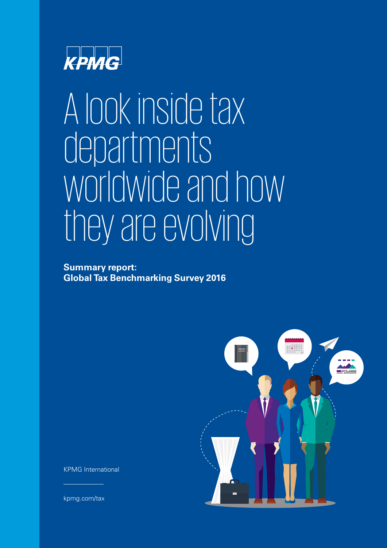

### A look inside tax departments worldwide and how they are evolving

### **Summary report: Global Tax Benchmarking Survey 2016**



KPMG International

[kpmg.com/tax](http://www.kpmg.com/tax)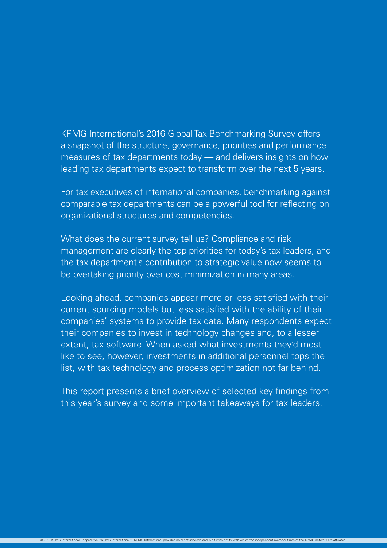### KPMG International's 2016 Global Tax Benchmarking Survey offers a snapshot of the structure, governance, priorities and performance measures of tax departments today — and delivers insights on how leading tax departments expect to transform over the next 5 years.

For tax executives of international companies, benchmarking against comparable tax departments can be a powerful tool for reflecting on organizational structures and competencies.

What does the current survey tell us? Compliance and risk management are clearly the top priorities for today's tax leaders, and the tax department's contribution to strategic value now seems to be overtaking priority over cost minimization in many areas.

Looking ahead, companies appear more or less satisfied with their current sourcing models but less satisfied with the ability of their companies' systems to provide tax data. Many respondents expect their companies to invest in technology changes and, to a lesser extent, tax software. When asked what investments they'd most like to see, however, investments in additional personnel tops the list, with tax technology and process optimization not far behind.

This report presents a brief overview of selected key findings from this year's survey and some important takeaways for tax leaders.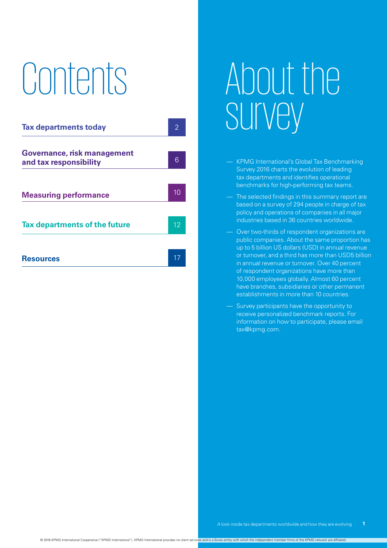# Contents



## About the survey

- KPMG International's Global Tax Benchmarking Survey 2016 charts the evolution of leading tax departments and identifies operational benchmarks for high-performing tax teams.
- The selected findings in this summary report are based on a survey of 294 people in charge of tax policy and operations of companies in all major industries based in 36 countries worldwide.
- Over two-thirds of respondent organizations are public companies. About the same proportion has up to 5 billion US dollars (USD) in annual revenue or turnover, and a third has more than USD5 billion in annual revenue or turnover. Over 40 percent of respondent organizations have more than 10,000 employees globally. Almost 60 percent have branches, subsidiaries or other permanent establishments in more than 10 countries.
- Survey participants have the opportunity to receive personalized benchmark reports. For information on how to participate, please email tax@kpmg.com.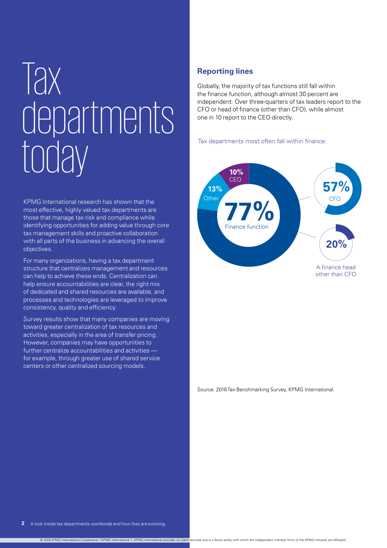## **Tax** departments today

KPMG International research has shown that the most effective, highly valued tax departments are those that manage tax risk and compliance while identifying opportunities for adding value through core tax management skills and proactive collaboration with all parts of the business in advancing the overall objectives.

For many organizations, having a tax department structure that centralizes management and resources can help to achieve these ends. Centralization can help ensure accountabilities are clear, the right mix of dedicated and shared resources are available, and processes and technologies are leveraged to improve consistency, quality and efficiency.

Survey results show that many companies are moving toward greater centralization of tax resources and activities, especially in the area of transfer pricing. However, companies may have opportunities to further centralize accountabilities and activities for example, through greater use of shared service centers or other centralized sourcing models.

### **Reporting lines**

Globally, the majority of tax functions still fall within the finance function, although almost 30 percent are independent. Over three-quarters of tax leaders report to the CFO or head of finance (other than CFO), while almost one in 10 report to the CEO directly.

Tax departments most often fall within finance:



Source: 2016 Tax Benchmarking Survey, KPMG International.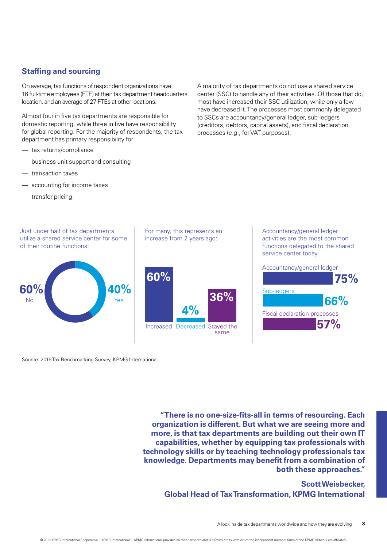### **Staffing and sourcing**

On average, tax functions of respondent organizations have 16 full-time employees (FTE) at their tax department headquarters location, and an average of 27 FTEs at other locations.

Almost four in five tax departments are responsible for domestic reporting, while three in five have responsibility for global reporting. For the majority of respondents, the tax department has primary responsibility for:

- tax returns/compliance
- business unit support and consulting
- transaction taxes
- accounting for income taxes
- transfer pricing.

Just under half of tax departments utilize a shared service center for some of their routine functions:



For many, this represents an increase from 2 years ago:



A majority of tax departments do not use a shared service center (SSC) to handle any of their activities. Of those that do, most have increased their SSC utilization, while only a few have decreased it. The processes most commonly delegated to SSCs are accountancy/general ledger, sub-ledgers (creditors, debtors, capital assets), and fiscal declaration processes (e.g., for VAT purposes).

> Accountancy/general ledger activities are the most common functions delegated to the shared service center today:



Source: 2016 Tax Benchmarking Survey, KPMG International.

**"There is no one-size-fits-all in terms of resourcing. Each organization is different. But what we are seeing more and more, is that tax departments are building out their own IT capabilities, whether by equipping tax professionals with technology skills or by teaching technology professionals tax knowledge. Departments may benefit from a combination of both these approaches."** 

### **Scott Weisbecker, Global Head of Tax Transformation, KPMG International**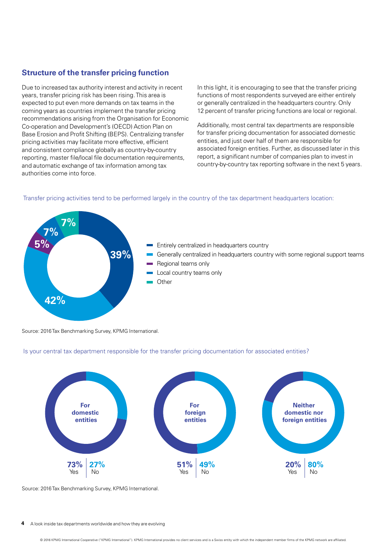### **Structure of the transfer pricing function**

Due to increased tax authority interest and activity in recent years, transfer pricing risk has been rising. This area is expected to put even more demands on tax teams in the coming years as countries implement the transfer pricing recommendations arising from the Organisation for Economic Co-operation and Development's (OECD) Action Plan on Base Erosion and Profit Shifting (BEPS). Centralizing transfer pricing activities may facilitate more effective, efficient and consistent compliance globally as country-by-country reporting, master file/local file documentation requirements, and automatic exchange of tax information among tax authorities come into force.

In this light, it is encouraging to see that the transfer pricing functions of most respondents surveyed are either entirely or generally centralized in the headquarters country. Only 12 percent of transfer pricing functions are local or regional.

Additionally, most central tax departments are responsible for transfer pricing documentation for associated domestic entities, and just over half of them are responsible for associated foreign entities. Further, as discussed later in this report, a significant number of companies plan to invest in country-by-country tax reporting software in the next 5 years.



Transfer pricing activities tend to be performed largely in the country of the tax department headquarters location:

Source: 2016 Tax Benchmarking Survey, KPMG International.





Source: 2016 Tax Benchmarking Survey, KPMG International.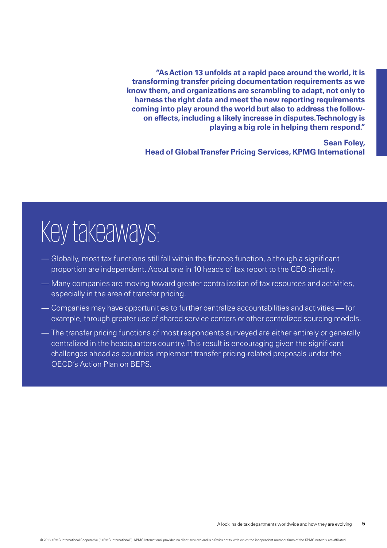**"As Action 13 unfolds at a rapid pace around the world, it is transforming transfer pricing documentation requirements as we know them, and organizations are scrambling to adapt, not only to harness the right data and meet the new reporting requirements coming into play around the world but also to address the followon effects, including a likely increase in disputes. Technology is playing a big role in helping them respond."** 

### **Sean Foley, Head of Global Transfer Pricing Services, KPMG International**

- Globally, most tax functions still fall within the finance function, although a significant proportion are independent. About one in 10 heads of tax report to the CEO directly.
- Many companies are moving toward greater centralization of tax resources and activities, especially in the area of transfer pricing.
- Companies may have opportunities to further centralize accountabilities and activities for example, through greater use of shared service centers or other centralized sourcing models.
- The transfer pricing functions of most respondents surveyed are either entirely or generally centralized in the headquarters country. This result is encouraging given the significant challenges ahead as countries implement transfer pricing-related proposals under the OECD's Action Plan on BEPS.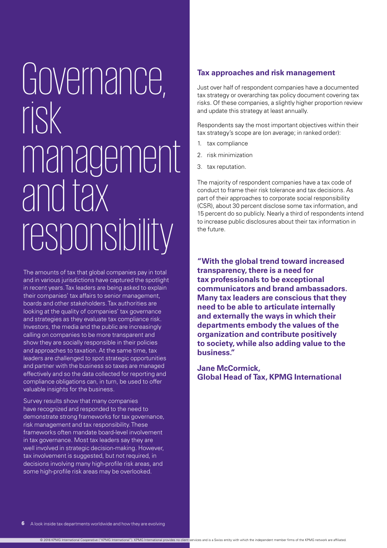## Governance, risk management and tax responsibility

The amounts of tax that global companies pay in total and in various jurisdictions have captured the spotlight in recent years. Tax leaders are being asked to explain their companies' tax affairs to senior management, boards and other stakeholders. Tax authorities are looking at the quality of companies' tax governance and strategies as they evaluate tax compliance risk. Investors, the media and the public are increasingly calling on companies to be more transparent and show they are socially responsible in their policies and approaches to taxation. At the same time, tax leaders are challenged to spot strategic opportunities and partner with the business so taxes are managed effectively and so the data collected for reporting and compliance obligations can, in turn, be used to offer valuable insights for the business.

Survey results show that many companies have recognized and responded to the need to demonstrate strong frameworks for tax governance, risk management and tax responsibility. These frameworks often mandate board-level involvement in tax governance. Most tax leaders say they are well involved in strategic decision-making. However, tax involvement is suggested, but not required, in decisions involving many high-profile risk areas, and some high-profile risk areas may be overlooked.

### **Tax approaches and risk management**

Just over half of respondent companies have a documented tax strategy or overarching tax policy document covering tax risks. Of these companies, a slightly higher proportion review and update this strategy at least annually.

Respondents say the most important objectives within their tax strategy's scope are (on average; in ranked order):

- 1. tax compliance
- 2. risk minimization
- 3. tax reputation.

The majority of respondent companies have a tax code of conduct to frame their risk tolerance and tax decisions. As part of their approaches to corporate social responsibility (CSR), about 30 percent disclose some tax information, and 15 percent do so publicly. Nearly a third of respondents intend to increase public disclosures about their tax information in the future.

**"With the global trend toward increased transparency, there is a need for tax professionals to be exceptional communicators and brand ambassadors. Many tax leaders are conscious that they need to be able to articulate internally and externally the ways in which their departments embody the values of the organization and contribute positively to society, while also adding value to the business."**

**Jane McCormick, Global Head of Tax, KPMG International**

© 2016 KPMG International Cooperative ("KPMG International"). KPMG International provides no client services and is a Swiss entity with which the independent member firms of the KPMG network are affiliated.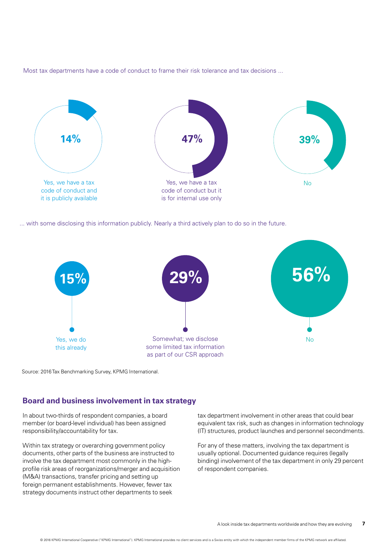Most tax departments have a code of conduct to frame their risk tolerance and tax decisions ...



... with some disclosing this information publicly. Nearly a third actively plan to do so in the future.



Source: 2016 Tax Benchmarking Survey, KPMG International.

### **Board and business involvement in tax strategy**

In about two-thirds of respondent companies, a board member (or board-level individual) has been assigned responsibility/accountability for tax.

Within tax strategy or overarching government policy documents, other parts of the business are instructed to involve the tax department most commonly in the highprofile risk areas of reorganizations/merger and acquisition (M&A) transactions, transfer pricing and setting up foreign permanent establishments. However, fewer tax strategy documents instruct other departments to seek

tax department involvement in other areas that could bear equivalent tax risk, such as changes in information technology (IT) structures, product launches and personnel secondments.

For any of these matters, involving the tax department is usually optional. Documented guidance requires (legally binding) involvement of the tax department in only 29 percent of respondent companies.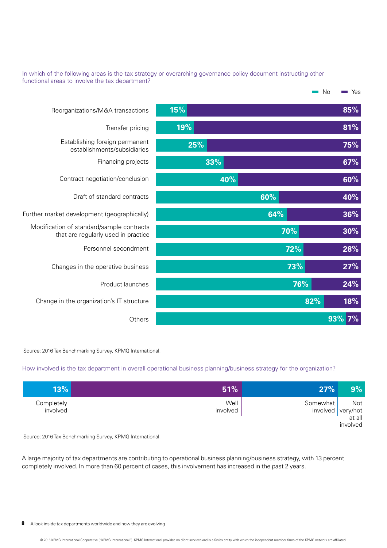### In which of the following areas is the tax strategy or overarching governance policy document instructing other functional areas to involve the tax department?

|                                                                                  |     |     |     | No<br>Yes  |
|----------------------------------------------------------------------------------|-----|-----|-----|------------|
| Reorganizations/M&A transactions                                                 | 15% |     |     | 85%        |
| Transfer pricing                                                                 | 19% |     |     | 81%        |
| Establishing foreign permanent<br>establishments/subsidiaries                    | 25% |     |     | 75%        |
| Financing projects                                                               |     | 33% |     | 67%        |
| Contract negotiation/conclusion                                                  |     | 40% |     | 60%        |
| Draft of standard contracts                                                      |     | 60% |     | 40%        |
| Further market development (geographically)                                      |     | 64% |     | 36%        |
| Modification of standard/sample contracts<br>that are regularly used in practice |     |     | 70% | 30%        |
| Personnel secondment                                                             |     |     | 72% | 28%        |
| Changes in the operative business                                                |     |     | 73% | 27%        |
| Product launches                                                                 |     |     | 76% | 24%        |
| Change in the organization's IT structure                                        |     |     | 82% | <b>18%</b> |
| Others                                                                           |     |     |     | 93%<br>7%  |

Source: 2016 Tax Benchmarking Survey, KPMG International.

### How involved is the tax department in overall operational business planning/business strategy for the organization?

| $9\%$                             | 27%      | 51%              | 13%                    |
|-----------------------------------|----------|------------------|------------------------|
| Not<br>$involved$ very/not at all | Somewhat | Well<br>involved | Completely<br>involved |
| involved                          |          |                  |                        |

Source: 2016 Tax Benchmarking Survey, KPMG International.

A large majority of tax departments are contributing to operational business planning/business strategy, with 13 percent completely involved. In more than 60 percent of cases, this involvement has increased in the past 2 years.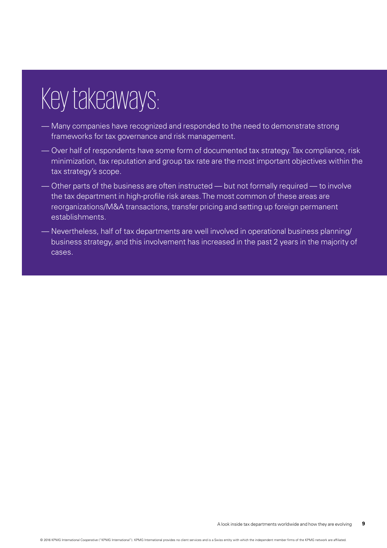- Many companies have recognized and responded to the need to demonstrate strong frameworks for tax governance and risk management.
- Over half of respondents have some form of documented tax strategy. Tax compliance, risk minimization, tax reputation and group tax rate are the most important objectives within the tax strategy's scope.
- Other parts of the business are often instructed but not formally required to involve the tax department in high-profile risk areas. The most common of these areas are reorganizations/M&A transactions, transfer pricing and setting up foreign permanent establishments.
- Nevertheless, half of tax departments are well involved in operational business planning/ business strategy, and this involvement has increased in the past 2 years in the majority of cases.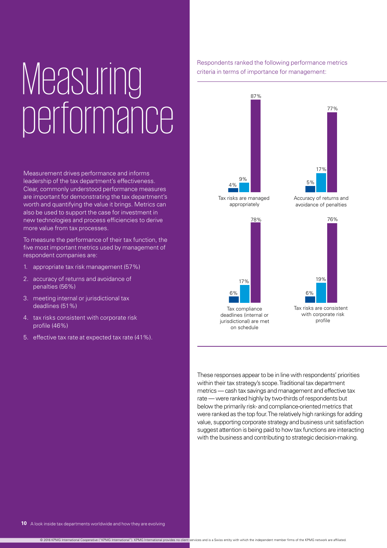## Measuring performance

Measurement drives performance and informs leadership of the tax department's effectiveness. Clear, commonly understood performance measures are important for demonstrating the tax department's worth and quantifying the value it brings. Metrics can also be used to support the case for investment in new technologies and process efficiencies to derive more value from tax processes.

To measure the performance of their tax function, the five most important metrics used by management of respondent companies are:

- 1. appropriate tax risk management (57%)
- 2. accuracy of returns and avoidance of penalties (56%)
- 3. meeting internal or jurisdictional tax deadlines (51%)
- 4. tax risks consistent with corporate risk profile (46%)
- 5. effective tax rate at expected tax rate (41%).

Respondents ranked the following performance metrics criteria in terms of importance for management:

Respondents ranked the following performance metrics





Tax risks are managed appropriately







These responses appear to be in line with respondents' priorities within their tax strategy's scope. Traditional tax department metrics — cash tax savings and management and effective tax rate — were ranked highly by two-thirds of respondents but below the primarily risk- and compliance-oriented metrics that were ranked as the top four. The relatively high rankings for adding value, supporting corporate strategy and business unit satisfaction suggest attention is being paid to how tax functions are interacting with the business and contributing to strategic decision-making.

© 2016 KPMG International Cooperative ("KPMG International"). KPMG International provides no client services and is a Swiss entity with which the independent member firms of the KPMG network are affiliated.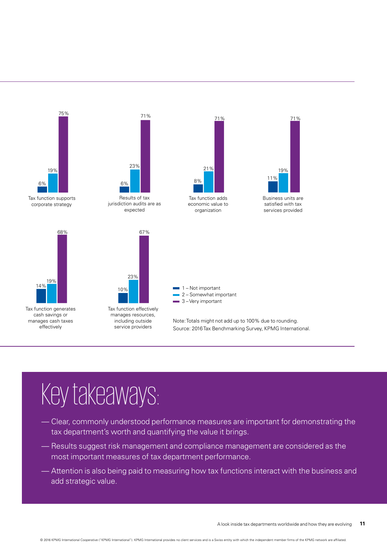

- Clear, commonly understood performance measures are important for demonstrating the tax department's worth and quantifying the value it brings.
- Results suggest risk management and compliance management are considered as the most important measures of tax department performance.
- Attention is also being paid to measuring how tax functions interact with the business and add strategic value.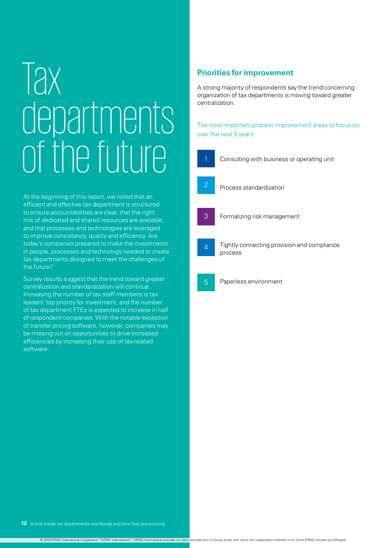## **Tax** departments of the future

At the beginning of this report, we noted that an efficient and effective tax department is structured to ensure accountabilities are clear, that the right mix of dedicated and shared resources are available, and that processes and technologies are leveraged to improve consistency, quality and efficiency. Are today's companies prepared to make the investments in people, processes and technology needed to create tax departments designed to meet the challenges of the future?

Survey results suggest that the trend toward greater centralization and standardization will continue. Increasing the number of tax staff members is tax leaders' top priority for investment, and the number of tax department FTEs is expected to increase in half of respondent companies. With the notable exception of transfer pricing software, however, companies may be missing out on opportunities to drive increased efficiencies by increasing their use of tax-related software.

### **Priorities for improvement**

A strong majority of respondents say the trend concerning organization of tax departments is moving toward greater centralization.

The most important process improvement areas to focus on over the next 5 years:

Consulting with business or operating unit

- 2
	- Process standardization
- 3

4

- Formalizing risk management
- Tightly connecting provision and compliance process
- Paperless environment 5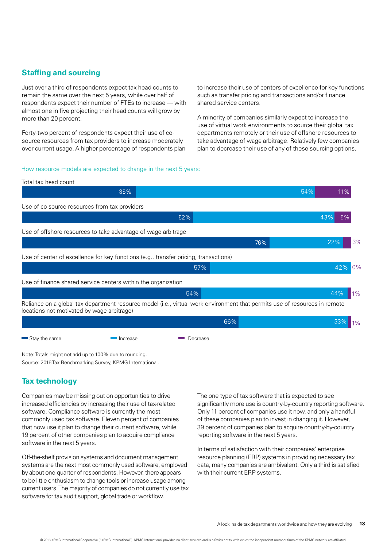### **Staffing and sourcing**

Just over a third of respondents expect tax head counts to remain the same over the next 5 years, while over half of respondents expect their number of FTEs to increase — with almost one in five projecting their head counts will grow by more than 20 percent.

Forty-two percent of respondents expect their use of cosource resources from tax providers to increase moderately over current usage. A higher percentage of respondents plan to increase their use of centers of excellence for key functions such as transfer pricing and transactions and/or finance shared service centers.

A minority of companies similarly expect to increase the use of virtual work environments to source their global tax departments remotely or their use of offshore resources to take advantage of wage arbitrage. Relatively few companies plan to decrease their use of any of these sourcing options.

#### How resource models are expected to change in the next 5 years:



Note: Totals might not add up to 100% due to rounding. Source: 2016 Tax Benchmarking Survey, KPMG International.

### **Tax technology**

Companies may be missing out on opportunities to drive increased efficiencies by increasing their use of tax-related software. Compliance software is currently the most commonly used tax software. Eleven percent of companies that now use it plan to change their current software, while 19 percent of other companies plan to acquire compliance software in the next 5 years.

Off-the-shelf provision systems and document management systems are the next most commonly used software, employed by about one-quarter of respondents. However, there appears to be little enthusiasm to change tools or increase usage among current users. The majority of companies do not currently use tax software for tax audit support, global trade or workflow.

The one type of tax software that is expected to see significantly more use is country-by-country reporting software. Only 11 percent of companies use it now, and only a handful of these companies plan to invest in changing it. However, 39 percent of companies plan to acquire country-by-country reporting software in the next 5 years.

In terms of satisfaction with their companies' enterprise resource planning (ERP) systems in providing necessary tax data, many companies are ambivalent. Only a third is satisfied with their current ERP systems.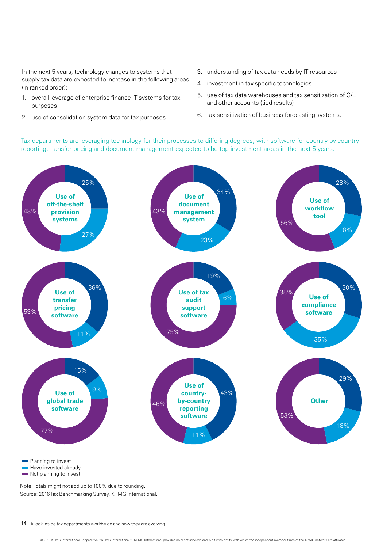In the next 5 years, technology changes to systems that supply tax data are expected to increase in the following areas (in ranked order):

- 1. overall leverage of enterprise finance IT systems for tax purposes
- 2. use of consolidation system data for tax purposes
- 3. understanding of tax data needs by IT resources
- 4. investment in tax-specific technologies
- 5. use of tax data warehouses and tax sensitization of G/L and other accounts (tied results)
- 6. tax sensitization of business forecasting systems.

Tax departments are leveraging technology for their processes to differing degrees, with software for country-by-country reporting, transfer pricing and document management expected to be top investment areas in the next 5 years:



Have invested already Not planning to invest

Note: Totals might not add up to 100% due to rounding. Source: 2016 Tax Benchmarking Survey, KPMG International.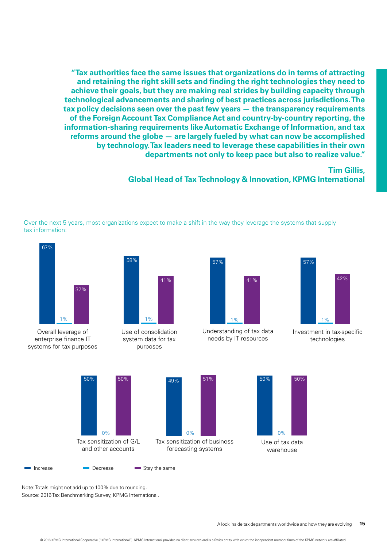**"Tax authorities face the same issues that organizations do in terms of attracting and retaining the right skill sets and finding the right technologies they need to achieve their goals, but they are making real strides by building capacity through technological advancements and sharing of best practices across jurisdictions. The tax policy decisions seen over the past few years — the transparency requirements of the Foreign Account Tax Compliance Act and country-by-country reporting, the information-sharing requirements like Automatic Exchange of Information, and tax reforms around the globe — are largely fueled by what can now be accomplished by technology. Tax leaders need to leverage these capabilities in their own departments not only to keep pace but also to realize value."**

**Tim Gillis,** 

**Global Head of Tax Technology & Innovation, KPMG International**

Over the next 5 years, most organizations expect to make a shift in the way they leverage the systems that supply tax information:



Overall leverage of enterprise finance IT systems for tax purposes



Use of consolidation system data for tax purposes



Understanding of tax data needs by IT resources



Investment in tax-specific technologies





Note: Totals might not add up to 100% due to rounding. Source: 2016 Tax Benchmarking Survey, KPMG International.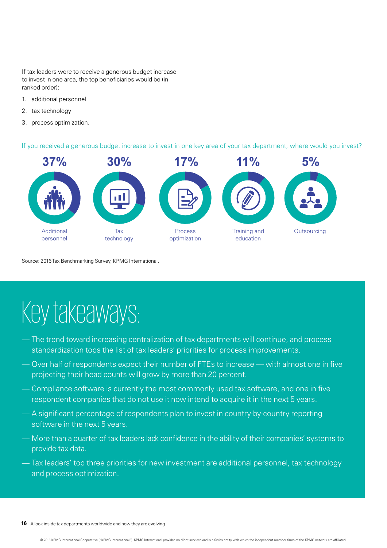If tax leaders were to receive a generous budget increase to invest in one area, the top beneficiaries would be (in ranked order):

- 1. additional personnel
- 2. tax technology
- 3. process optimization.

If you received a generous budget increase to invest in one key area of your tax department, where would you invest?



Source: 2016 Tax Benchmarking Survey, KPMG International.

- The trend toward increasing centralization of tax departments will continue, and process standardization tops the list of tax leaders' priorities for process improvements.
- Over half of respondents expect their number of FTEs to increase with almost one in five projecting their head counts will grow by more than 20 percent.
- Compliance software is currently the most commonly used tax software, and one in five respondent companies that do not use it now intend to acquire it in the next 5 years.
- A significant percentage of respondents plan to invest in country-by-country reporting software in the next 5 years.
- More than a quarter of tax leaders lack confidence in the ability of their companies' systems to provide tax data.
- Tax leaders' top three priorities for new investment are additional personnel, tax technology and process optimization.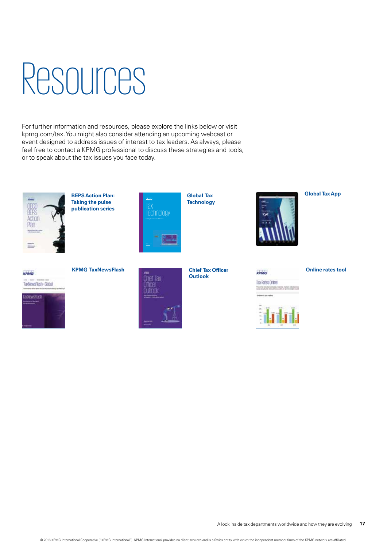## Resources

For further information and resources, please explore the links below or visit kpmg.com/tax. You might also consider attending an upcoming webcast or event designed to address issues of interest to tax leaders. As always, please feel free to contact a KPMG professional to discuss these strategies and tools, or to speak about the tax issues you face today.



**[BEPS Action Plan:](https://home.kpmg.com/xx/en/home/insights/2015/10/oecd-beps-action-plan-taking-the-pulse-series.html)  [Taking the pulse](https://home.kpmg.com/xx/en/home/insights/2015/10/oecd-beps-action-plan-taking-the-pulse-series.html)  [publication series](https://home.kpmg.com/xx/en/home/insights/2015/10/oecd-beps-action-plan-taking-the-pulse-series.html)**



**[Global Tax](http://kpmg.com/taxtechnology)  Technology** 



**[Global Tax App](https://home.kpmg.com/xx/en/home/insights/2015/03/kpmg-global-tax-app.html)**





### **[Chief Tax Officer](https://home.kpmg.com/xx/en/home/insights/2015/07/chief-tax-officer-outlook.html)  [Outlook](https://home.kpmg.com/xx/en/home/insights/2015/07/chief-tax-officer-outlook.html)**

Tax Rates Online